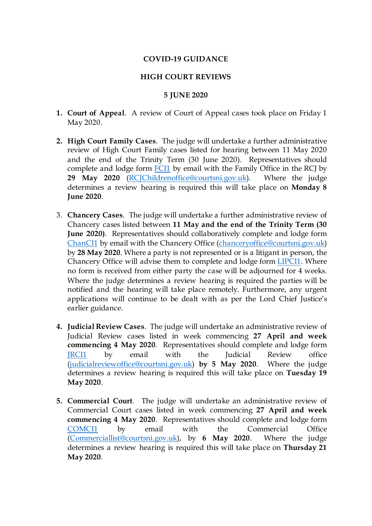## **COVID-19 GUIDANCE**

## **HIGH COURT REVIEWS**

## **5 JUNE 2020**

- **1. Court of Appeal**. A review of Court of Appeal cases took place on Friday 1 May 2020.
- **2. High Court Family Cases**. The judge will undertake a further administrative review of High Court Family cases listed for hearing between 11 May 2020 and the end of the Trinity Term (30 June 2020). Representatives should complete and lodge form [FCI1](https://judiciaryni.uk/sites/judiciary/files/media-files/FORM%20FCI1%20-%20Family%20Business%20Continuity%20Covid-19%20V5.0%20Issued%205.6.20.DOC) by email with the Family Office in the RCJ by **29 May 2020** [\(RCJChildrenoffice@courtsni.gov.uk\)](mailto:RCJChildrenoffice@courtsni.gov.uk). Where the judge determines a review hearing is required this will take place on **Monday 8 June 2020**.
- 3. **Chancery Cases**. The judge will undertake a further administrative review of Chancery cases listed between **11 May and the end of the Trinity Term (30 June 2020)**. Representatives should collaboratively complete and lodge form [ChanCI1](https://judiciaryni.uk/sites/judiciary/files/media-files/FORM%20ChanCI1%20%20Chancery%20Court%20Business%20Continuity%20V5.0%20Issued%205.6.20.DOC) by email with the Chancery Office [\(chanceryoffice@courtsni.gov.uk\)](mailto:chanceryoffice@courtsni.gov.uk) by **28 May 2020**. Where a party is not represented or is a litigant in person, the Chancery Office will advise them to complete and lodge form [LIPCI1.](https://judiciaryni.uk/sites/judiciary/files/media-files/FORM%20LIPCI1%20LIP%20%20Unrepresented%20Parties%20Business%20Continuity%20Covid%2019%20V3.0%20Issued%2011.5.20.DOC) Where no form is received from either party the case will be adjourned for 4 weeks. Where the judge determines a review hearing is required the parties will be notified and the hearing will take place remotely. Furthermore, any urgent applications will continue to be dealt with as per the Lord Chief Justice's earlier guidance.
- **4. Judicial Review Cases**. The judge will undertake an administrative review of Judicial Review cases listed in week commencing **27 April and week commencing 4 May 2020**. Representatives should complete and lodge form **IRCI1** by email with the Judicial Review office [\(judicialreviewoffice@courtsni.gov.uk\)](mailto:judicialreviewoffice@courtsni.gov.uk) **by 5 May 2020**. Where the judge determines a review hearing is required this will take place on **Tuesday 19 May 2020**.
- **5. Commercial Court**. The judge will undertake an administrative review of Commercial Court cases listed in week commencing **27 April and week commencing 4 May 2020**. Representatives should complete and lodge form [COMCI1](https://judiciaryni.uk/sites/judiciary/files/media-files/FORM%20COMCI1%20COMMERCIAL%20HUB%20Business%20Continuity%20Covid-19%20V5.0%20Issued%205.6.20.DOC) by email with the Commercial Office [\(Commerciallist@courtsni.gov.uk\)](mailto:Commerciallist@courtsni.gov.uk), by **6 May 2020**. Where the judge determines a review hearing is required this will take place on **Thursday 21 May 2020**.